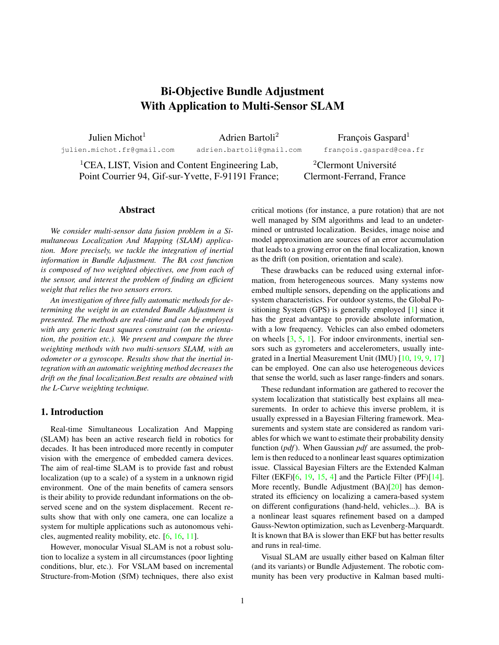# Bi-Objective Bundle Adjustment With Application to Multi-Sensor SLAM

<span id="page-0-0"></span>Julien Michot $<sup>1</sup>$ </sup>

julien.michot.fr@gmail.com

Adrien Bartoli<sup>2</sup> adrien.bartoli@gmail.com

François Gaspard<sup>1</sup> françois.gaspard@cea.fr

<sup>1</sup>CEA, LIST, Vision and Content Engineering Lab, Point Courrier 94, Gif-sur-Yvette, F-91191 France;

# <sup>2</sup>Clermont Université Clermont-Ferrand, France

# Abstract

*We consider multi-sensor data fusion problem in a Simultaneous Localization And Mapping (SLAM) application. More precisely, we tackle the integration of inertial information in Bundle Adjustment. The BA cost function is composed of two weighted objectives, one from each of the sensor, and interest the problem of finding an efficient weight that relies the two sensors errors.*

*An investigation of three fully automatic methods for determining the weight in an extended Bundle Adjustment is presented. The methods are real-time and can be employed with any generic least squares constraint (on the orientation, the position etc.). We present and compare the three weighting methods with two multi-sensors SLAM, with an odometer or a gyroscope. Results show that the inertial integration with an automatic weighting method decreases the drift on the final localization.Best results are obtained with the L-Curve weighting technique.*

# 1. Introduction

Real-time Simultaneous Localization And Mapping (SLAM) has been an active research field in robotics for decades. It has been introduced more recently in computer vision with the emergence of embedded camera devices. The aim of real-time SLAM is to provide fast and robust localization (up to a scale) of a system in a unknown rigid environment. One of the main benefits of camera sensors is their ability to provide redundant informations on the observed scene and on the system displacement. Recent results show that with only one camera, one can localize a system for multiple applications such as autonomous vehicles, augmented reality mobility, etc. [\[6,](#page-7-0) [16,](#page-7-1) [11\]](#page-7-2).

However, monocular Visual SLAM is not a robust solution to localize a system in all circumstances (poor lighting conditions, blur, etc.). For VSLAM based on incremental Structure-from-Motion (SfM) techniques, there also exist critical motions (for instance, a pure rotation) that are not well managed by SfM algorithms and lead to an undetermined or untrusted localization. Besides, image noise and model approximation are sources of an error accumulation that leads to a growing error on the final localization, known as the drift (on position, orientation and scale).

These drawbacks can be reduced using external information, from heterogeneous sources. Many systems now embed multiple sensors, depending on the applications and system characteristics. For outdoor systems, the Global Positioning System (GPS) is generally employed [\[1\]](#page-7-3) since it has the great advantage to provide absolute information, with a low frequency. Vehicles can also embed odometers on wheels  $[3, 5, 1]$  $[3, 5, 1]$  $[3, 5, 1]$  $[3, 5, 1]$  $[3, 5, 1]$ . For indoor environments, inertial sensors such as gyrometers and accelerometers, usually integrated in a Inertial Measurement Unit (IMU) [\[10,](#page-7-6) [19,](#page-7-7) [9,](#page-7-8) [17\]](#page-7-9) can be employed. One can also use heterogeneous devices that sense the world, such as laser range-finders and sonars.

These redundant information are gathered to recover the system localization that statistically best explains all measurements. In order to achieve this inverse problem, it is usually expressed in a Bayesian Filtering framework. Measurements and system state are considered as random variables for which we want to estimate their probability density function (*pdf*). When Gaussian *pdf* are assumed, the problem is then reduced to a nonlinear least squares optimization issue. Classical Bayesian Filters are the Extended Kalman Filter (EKF) $[6, 19, 15, 4]$  $[6, 19, 15, 4]$  $[6, 19, 15, 4]$  $[6, 19, 15, 4]$  $[6, 19, 15, 4]$  $[6, 19, 15, 4]$  $[6, 19, 15, 4]$  and the Particle Filter (PF) $[14]$ . More recently, Bundle Adjustment (BA)[\[20\]](#page-7-13) has demonstrated its efficiency on localizing a camera-based system on different configurations (hand-held, vehicles...). BA is a nonlinear least squares refinement based on a damped Gauss-Newton optimization, such as Levenberg-Marquardt. It is known that BA is slower than EKF but has better results and runs in real-time.

Visual SLAM are usually either based on Kalman filter (and its variants) or Bundle Adjustement. The robotic community has been very productive in Kalman based multi-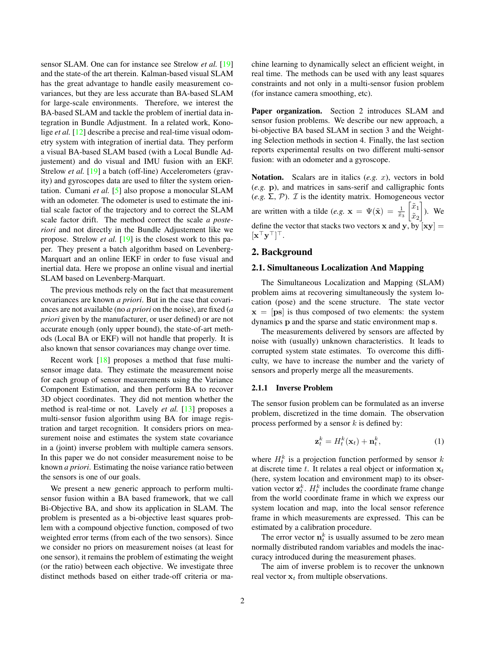<span id="page-1-0"></span>sensor SLAM. One can for instance see Strelow *et al.* [\[19\]](#page-7-7) and the state-of the art therein. Kalman-based visual SLAM has the great advantage to handle easily measurement covariances, but they are less accurate than BA-based SLAM for large-scale environments. Therefore, we interest the BA-based SLAM and tackle the problem of inertial data integration in Bundle Adjustment. In a related work, Konolige *et al.* [\[12\]](#page-7-14) describe a precise and real-time visual odometry system with integration of inertial data. They perform a visual BA-based SLAM based (with a Local Bundle Adjustement) and do visual and IMU fusion with an EKF. Strelow *et al.* [\[19\]](#page-7-7) a batch (off-line) Accelerometers (gravity) and gyroscopes data are used to filter the system orientation. Cumani *et al.* [\[5\]](#page-7-5) also propose a monocular SLAM with an odometer. The odometer is used to estimate the initial scale factor of the trajectory and to correct the SLAM scale factor drift. The method correct the scale *a posteriori* and not directly in the Bundle Adjustement like we propose. Strelow *et al.* [\[19\]](#page-7-7) is the closest work to this paper. They present a batch algorithm based on Levenberg-Marquart and an online IEKF in order to fuse visual and inertial data. Here we propose an online visual and inertial SLAM based on Levenberg-Marquart.

The previous methods rely on the fact that measurement covariances are known *a priori*. But in the case that covariances are not available (no *a priori* on the noise), are fixed (*a priori* given by the manufacturer, or user defined) or are not accurate enough (only upper bound), the state-of-art methods (Local BA or EKF) will not handle that properly. It is also known that sensor covariances may change over time.

Recent work [\[18\]](#page-7-15) proposes a method that fuse multisensor image data. They estimate the measurement noise for each group of sensor measurements using the Variance Component Estimation, and then perform BA to recover 3D object coordinates. They did not mention whether the method is real-time or not. Lavely *et al.* [\[13\]](#page-7-16) proposes a multi-sensor fusion algorithm using BA for image registration and target recognition. It considers priors on measurement noise and estimates the system state covariance in a (joint) inverse problem with multiple camera sensors. In this paper we do not consider measurement noise to be known *a priori*. Estimating the noise variance ratio between the sensors is one of our goals.

We present a new generic approach to perform multisensor fusion within a BA based framework, that we call Bi-Objective BA, and show its application in SLAM. The problem is presented as a bi-objective least squares problem with a compound objective function, composed of two weighted error terms (from each of the two sensors). Since we consider no priors on measurement noises (at least for one sensor), it remains the problem of estimating the weight (or the ratio) between each objective. We investigate three distinct methods based on either trade-off criteria or machine learning to dynamically select an efficient weight, in real time. The methods can be used with any least squares constraints and not only in a multi-sensor fusion problem (for instance camera smoothing, etc).

Paper organization. Section 2 introduces SLAM and sensor fusion problems. We describe our new approach, a bi-objective BA based SLAM in section 3 and the Weighting Selection methods in section 4. Finally, the last section reports experimental results on two different multi-sensor fusion: with an odometer and a gyroscope.

Notation. Scalars are in italics (*e.g. x*), vectors in bold (*e.g.* p), and matrices in sans-serif and calligraphic fonts (*e.g.*  $\Sigma$ ,  $\mathcal{P}$ ). *I* is the identity matrix. Homogeneous vector are written with a tilde (*e.g.*  $\mathbf{x} = \Psi(\tilde{\mathbf{x}}) = \frac{1}{\tilde{x}_3}$  $\lceil \tilde{x}_1 \rceil$  $\tilde{x}_2$  $\big]$ ). We define the vector that stacks two vectors x and y, by  $\bar{x}$   $\bar{y}$  =  $[\mathbf{x}^\top \mathbf{y}^\top]^\top.$ 

# 2. Background

### 2.1. Simultaneous Localization And Mapping

The Simultaneous Localization and Mapping (SLAM) problem aims at recovering simultaneously the system location (pose) and the scene structure. The state vector  $x = [ps]$  is thus composed of two elements: the system dynamics p and the sparse and static environment map s.

The measurements delivered by sensors are affected by noise with (usually) unknown characteristics. It leads to corrupted system state estimates. To overcome this difficulty, we have to increase the number and the variety of sensors and properly merge all the measurements.

### 2.1.1 Inverse Problem

The sensor fusion problem can be formulated as an inverse problem, discretized in the time domain. The observation process performed by a sensor  $k$  is defined by:

$$
\mathbf{z}_t^k = H_t^k(\mathbf{x}_t) + \mathbf{n}_t^k,\tag{1}
$$

where  $H_t^k$  is a projection function performed by sensor k at discrete time t. It relates a real object or information  $x_t$ (here, system location and environment map) to its observation vector  $z_t^k$ .  $H_t^k$  includes the coordinate frame change from the world coordinate frame in which we express our system location and map, into the local sensor reference frame in which measurements are expressed. This can be estimated by a calibration procedure.

The error vector  $n_t^k$  is usually assumed to be zero mean normally distributed random variables and models the inaccuracy introduced during the measurement phases.

The aim of inverse problem is to recover the unknown real vector  $x_t$  from multiple observations.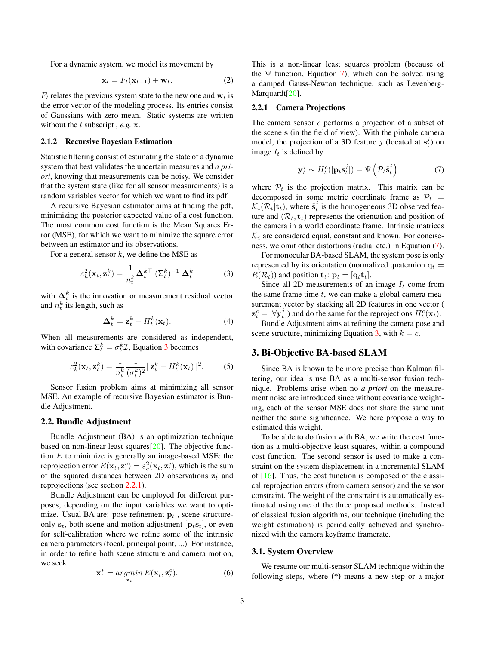<span id="page-2-4"></span>For a dynamic system, we model its movement by

<span id="page-2-3"></span>
$$
\mathbf{x}_t = F_t(\mathbf{x}_{t-1}) + \mathbf{w}_t. \tag{2}
$$

 $F_t$  relates the previous system state to the new one and  $w_t$  is the error vector of the modeling process. Its entries consist of Gaussians with zero mean. Static systems are written without the t subscript, e.g. **x**.

#### 2.1.2 Recursive Bayesian Estimation

Statistic filtering consist of estimating the state of a dynamic system that best validates the uncertain measures and *a priori*, knowing that measurements can be noisy. We consider that the system state (like for all sensor measurements) is a random variables vector for which we want to find its pdf.

A recursive Bayesian estimator aims at finding the pdf, minimizing the posterior expected value of a cost function. The most common cost function is the Mean Squares Error (MSE), for which we want to minimize the square error between an estimator and its observations.

For a general sensor  $k$ , we define the MSE as

<span id="page-2-0"></span>
$$
\varepsilon_k^2(\mathbf{x}_t, \mathbf{z}_t^k) = \frac{1}{n_t^k} \mathbf{\Delta}_t^{k\top} \left(\Sigma_t^k\right)^{-1} \mathbf{\Delta}_t^k \tag{3}
$$

with  $\Delta_t^k$  is the innovation or measurement residual vector and  $n_t^k$  its length, such as

$$
\Delta_t^k = \mathbf{z}_t^k - H_t^k(\mathbf{x}_t). \tag{4}
$$

When all measurements are considered as independent, with covariance  $\Sigma_t^k = \sigma_t^k \mathcal{I}$ , Equation [3](#page-2-0) becomes

$$
\varepsilon_k^2(\mathbf{x}_t, \mathbf{z}_t^k) = \frac{1}{n_t^k} \frac{1}{(\sigma_t^k)^2} \|\mathbf{z}_t^k - H_t^k(\mathbf{x}_t)\|^2.
$$
 (5)

Sensor fusion problem aims at minimizing all sensor MSE. An example of recursive Bayesian estimator is Bundle Adjustment.

# 2.2. Bundle Adjustment

Bundle Adjustment (BA) is an optimization technique based on non-linear least squares $[20]$ . The objective function  $E$  to minimize is generally an image-based MSE: the reprojection error  $E(\mathbf{x}_t, \mathbf{z}_t^c) = \varepsilon_c^2(\mathbf{x}_t, \mathbf{z}_t^c)$ , which is the sum of the squared distances between 2D observations  $z_t^c$  and reprojections (see section [2.2.1\)](#page-2-1).

Bundle Adjustment can be employed for different purposes, depending on the input variables we want to optimize. Usual BA are: pose refinement  $p_t$ , scene structureonly  $s_t$ , both scene and motion adjustment  $[p_t s_t]$ , or even for self-calibration where we refine some of the intrinsic camera parameters (focal, principal point, ...). For instance, in order to refine both scene structure and camera motion, we seek

$$
\mathbf{x}_{t}^{*} = \underset{\mathbf{x}_{t}}{\operatorname{argmin}} E(\mathbf{x}_{t}, \mathbf{z}_{t}^{c}).
$$
 (6)

This is a non-linear least squares problem (because of the  $\Psi$  function, Equation [7\)](#page-2-2), which can be solved using a damped Gauss-Newton technique, such as Levenberg-Marquardt[\[20\]](#page-7-13).

### <span id="page-2-1"></span>2.2.1 Camera Projections

The camera sensor c performs a projection of a subset of the scene s (in the field of view). With the pinhole camera model, the projection of a 3D feature j (located at  $s_t^j$ ) on image  $I_t$  is defined by

<span id="page-2-2"></span>
$$
\mathbf{y}_t^j \sim H_t^c([\mathbf{p}_t \mathbf{s}_t^j]) = \Psi\left(\mathcal{P}_t \tilde{\mathbf{s}}_t^j\right) \tag{7}
$$

where  $P_t$  is the projection matrix. This matrix can be decomposed in some metric coordinate frame as  $P_t$  =  $\mathcal{K}_t(\mathcal{R}_t[\mathbf{t}_t],$  where  $\tilde{\mathbf{s}}_t^j$  is the homogeneous 3D observed feature and  $(\mathcal{R}_t, \mathbf{t}_t)$  represents the orientation and position of the camera in a world coordinate frame. Intrinsic matrices  $\mathcal{K}_i$  are considered equal, constant and known. For conciseness, we omit other distortions (radial etc.) in Equation [\(7\)](#page-2-2).

For monocular BA-based SLAM, the system pose is only represented by its orientation (normalized quaternion  $q_t =$  $R(\mathcal{R}_t)$  and position  $\mathbf{t}_t$ :  $\mathbf{p}_t = [\mathbf{q}_t \mathbf{t}_t]$ .

Since all 2D measurements of an image  $I_t$  come from the same frame time  $t$ , we can make a global camera measurement vector by stacking all 2D features in one vector (  $\mathbf{z}_t^c = [\forall \mathbf{y}_t^j]$  and do the same for the reprojections  $H_t^c(\mathbf{x}_t)$ .

Bundle Adjustment aims at refining the camera pose and scene structure, minimizing Equation [3,](#page-2-0) with  $k = c$ .

# 3. Bi-Objective BA-based SLAM

Since BA is known to be more precise than Kalman filtering, our idea is use BA as a multi-sensor fusion technique. Problems arise when no *a priori* on the measurement noise are introduced since without covariance weighting, each of the sensor MSE does not share the same unit neither the same significance. We here propose a way to estimated this weight.

To be able to do fusion with BA, we write the cost function as a multi-objective least squares, within a compound cost function. The second sensor is used to make a constraint on the system displacement in a incremental SLAM of [\[16\]](#page-7-1). Thus, the cost function is composed of the classical reprojection errors (from camera sensor) and the sensor constraint. The weight of the constraint is automatically estimated using one of the three proposed methods. Instead of classical fusion algorithms, our technique (including the weight estimation) is periodically achieved and synchronized with the camera keyframe framerate.

### 3.1. System Overview

We resume our multi-sensor SLAM technique within the following steps, where (\*) means a new step or a major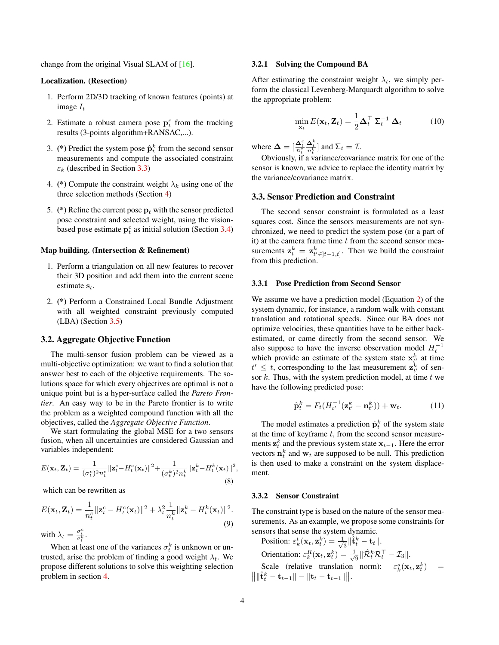<span id="page-3-3"></span>change from the original Visual SLAM of [\[16\]](#page-7-1).

#### Localization. (Resection)

- 1. Perform 2D/3D tracking of known features (points) at image  $I_t$
- 2. Estimate a robust camera pose  $p_t^c$  from the tracking results (3-points algorithm+RANSAC,...).
- 3. (\*) Predict the system pose  $\hat{\mathbf{p}}_t^k$  from the second sensor measurements and compute the associated constraint  $\varepsilon_k$  (described in Section [3.3\)](#page-3-0)
- 4. (\*) Compute the constraint weight  $\lambda_k$  using one of the three selection methods (Section [4\)](#page-4-0)
- 5. (\*) Refine the current pose  $\mathbf{p}_t$  with the sensor predicted pose constraint and selected weight, using the visionbased pose estimate  $p_t^c$  as initial solution (Section [3.4\)](#page-4-1)

### Map building. (Intersection & Refinement)

- 1. Perform a triangulation on all new features to recover their 3D position and add them into the current scene estimate  $s_t$ .
- 2. (\*) Perform a Constrained Local Bundle Adjustment with all weighted constraint previously computed (LBA) (Section [3.5\)](#page-4-2)

# 3.2. Aggregate Objective Function

The multi-sensor fusion problem can be viewed as a multi-objective optimization: we want to find a solution that answer best to each of the objective requirements. The solutions space for which every objectives are optimal is not a unique point but is a hyper-surface called the *Pareto Frontier*. An easy way to be in the Pareto frontier is to write the problem as a weighted compound function with all the objectives, called the *Aggregate Objective Function*.

We start formulating the global MSE for a two sensors fusion, when all uncertainties are considered Gaussian and variables independent:

$$
E(\mathbf{x}_t, \mathbf{Z}_t) = \frac{1}{(\sigma_t^c)^2 n_t^c} ||\mathbf{z}_t^c - H_t^c(\mathbf{x}_t)||^2 + \frac{1}{(\sigma_t^k)^2 n_t^k} ||\mathbf{z}_t^k - H_t^k(\mathbf{x}_t)||^2,
$$
\n(8)

which can be rewritten as

<span id="page-3-2"></span>
$$
E(\mathbf{x}_t, \mathbf{Z}_t) = \frac{1}{n_t^c} ||\mathbf{z}_t^c - H_t^c(\mathbf{x}_t)||^2 + \lambda_t^2 \frac{1}{n_t^k} ||\mathbf{z}_t^k - H_t^k(\mathbf{x}_t)||^2.
$$
  
\nwith  $\lambda_t = \frac{\sigma_t^c}{\sigma_t^k}.$  (9)

When at least one of the variances  $\sigma_t^k$  is unknown or untrusted, arise the problem of finding a good weight  $\lambda_t$ . We propose different solutions to solve this weighting selection problem in section [4.](#page-4-0)

#### 3.2.1 Solving the Compound BA

After estimating the constraint weight  $\lambda_t$ , we simply perform the classical Levenberg-Marquardt algorithm to solve the appropriate problem:

$$
\min_{\mathbf{x}_t} E(\mathbf{x}_t, \mathbf{Z}_t) = \frac{1}{2} \boldsymbol{\Delta}_t^\top \boldsymbol{\Sigma}_t^{-1} \boldsymbol{\Delta}_t \tag{10}
$$

where  $\Delta = \left[\frac{\Delta_t^c}{n_t^c}\right]$  $\frac{\mathbf{\Delta}_t^k}{n_t^k}$  and  $\mathbf{\Sigma}_t = \mathcal{I}$ .

Obviously, if a variance/covariance matrix for one of the sensor is known, we advice to replace the identity matrix by the variance/covariance matrix.

## <span id="page-3-0"></span>3.3. Sensor Prediction and Constraint

The second sensor constraint is formulated as a least squares cost. Since the sensors measurements are not synchronized, we need to predict the system pose (or a part of it) at the camera frame time  $t$  from the second sensor measurements  $\mathbf{z}_t^k = \mathbf{z}_{t' \in [t-1,t]}^k$ . Then we build the constraint from this prediction.

### 3.3.1 Pose Prediction from Second Sensor

We assume we have a prediction model (Equation [2\)](#page-2-3) of the system dynamic, for instance, a random walk with constant translation and rotational speeds. Since our BA does not optimize velocities, these quantities have to be either backestimated, or came directly from the second sensor. We also suppose to have the inverse observation model  $H_t^{-1}$ which provide an estimate of the system state  $x_{t'}^k$  at time  $t' \leq t$ , corresponding to the last measurement  $\mathbf{z}_{t'}^{\overline{k}}$  of sensor  $k$ . Thus, with the system prediction model, at time  $t$  we have the following predicted pose:

<span id="page-3-1"></span>
$$
\hat{\mathbf{p}}_t^k = F_t(H_{t'}^{-1}(\mathbf{z}_{t'}^k - \mathbf{n}_{t'}^k)) + \mathbf{w}_t.
$$
 (11)

The model estimates a prediction  $\hat{\mathbf{p}}_t^k$  of the system state at the time of keyframe  $t$ , from the second sensor measurements  $\mathbf{z}_t^k$  and the previous system state  $\mathbf{x}_{t-1}$ . Here the error vectors  $\mathbf{n}_t^k$  and  $\mathbf{w}_t$  are supposed to be null. This prediction is then used to make a constraint on the system displacement.

### 3.3.2 Sensor Constraint

The constraint type is based on the nature of the sensor measurements. As an example, we propose some constraints for sensors that sense the system dynamic.

Position:  $\varepsilon_k^t(\mathbf{x}_t, \mathbf{z}_t^k) = \frac{1}{\sqrt{2}}$  $_{\overline{3}}\Vert\hat{\mathbf{t}}_t^k - \mathbf{t}_t\Vert.$ Orientation:  $\varepsilon_k^R(\mathbf{x}_t, \mathbf{z}_t^k) = \frac{1}{\sqrt{2}}$  $_{\overline{9}}\Vert\hat{\mathcal{R}}_{t}^{k}\mathcal{R}_{t}^{\top}-\mathcal{I}_{3}\Vert.$ Scale (relative translation norm):  $\varepsilon_k^s(\mathbf{x}_t, \mathbf{z}_t^k)$  = Scale (relative translation norm).  $\varepsilon_k(\mathbf{x}_t, \mathbf{z}_t)$ <br>  $\|\|\hat{\mathbf{t}}_t^k - \mathbf{t}_{t-1}\| - \|\mathbf{t}_t - \mathbf{t}_{t-1}\|\|.$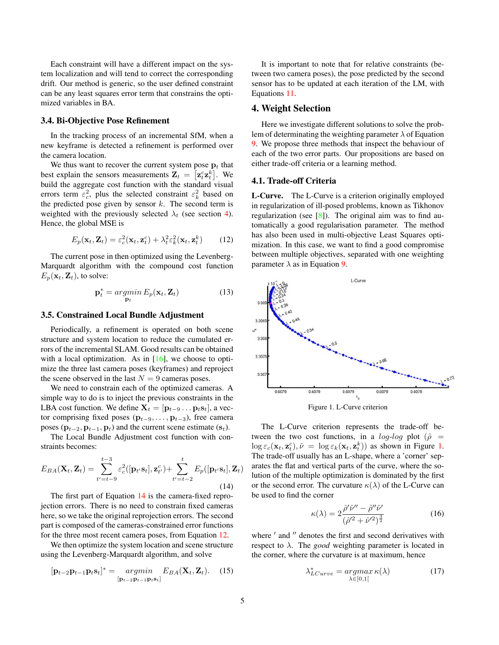<span id="page-4-7"></span>Each constraint will have a different impact on the system localization and will tend to correct the corresponding drift. Our method is generic, so the user defined constraint can be any least squares error term that constrains the optimized variables in BA.

# <span id="page-4-1"></span>3.4. Bi-Objective Pose Refinement

In the tracking process of an incremental SfM, when a new keyframe is detected a refinement is performed over the camera location.

We thus want to recover the current system pose  $\mathbf{p}_t$  that best explain the sensors measurements  $\mathbf{Z}_t = \left[\mathbf{z}_t^c \mathbf{z}_t^k\right]$ . We build the aggregate cost function with the standard visual errors term  $\varepsilon_c^2$ , plus the selected constraint  $\varepsilon_k^2$  based on the predicted pose given by sensor  $k$ . The second term is weighted with the previously selected  $\lambda_t$  (see section [4\)](#page-4-0). Hence, the global MSE is

<span id="page-4-4"></span>
$$
E_p(\mathbf{x}_t, \mathbf{Z}_t) = \varepsilon_c^2(\mathbf{x}_t, \mathbf{z}_t^c) + \lambda_t^2 \varepsilon_k^2(\mathbf{x}_t, \mathbf{z}_t^k)
$$
(12)

The current pose in then optimized using the Levenberg-Marquardt algorithm with the compound cost function  $E_p(\mathbf{x}_t, \mathbf{Z}_t)$ , to solve:

<span id="page-4-6"></span>
$$
\mathbf{p}_t^* = \underset{\mathbf{p}_t}{\operatorname{argmin}} E_p(\mathbf{x}_t, \mathbf{Z}_t) \tag{13}
$$

#### <span id="page-4-2"></span>3.5. Constrained Local Bundle Adjustment

Periodically, a refinement is operated on both scene structure and system location to reduce the cumulated errors of the incremental SLAM. Good results can be obtained with a local optimization. As in  $[16]$ , we choose to optimize the three last camera poses (keyframes) and reproject the scene observed in the last  $N = 9$  cameras poses.

We need to constrain each of the optimized cameras. A simple way to do is to inject the previous constraints in the LBA cost function. We define  $X_t = [\mathbf{p}_{t-9} \dots \mathbf{p}_t \mathbf{s}_t]$ , a vector comprising fixed poses ( $\mathbf{p}_{t-9}, \ldots, \mathbf{p}_{t-3}$ ), free camera poses ( $\mathbf{p}_{t-2}, \mathbf{p}_{t-1}, \mathbf{p}_t$ ) and the current scene estimate ( $\mathbf{s}_t$ ).

The Local Bundle Adjustment cost function with constraints becomes:

<span id="page-4-3"></span>
$$
E_{BA}(\mathbf{X}_t, \mathbf{Z}_t) = \sum_{t'=t-9}^{t-3} \varepsilon_c^2([\mathbf{p}_{t'}\mathbf{s}_t], \mathbf{z}_{t'}^c) + \sum_{t'=t-2}^t E_p([\mathbf{p}_{t'}\mathbf{s}_t], \mathbf{Z}_t)
$$
\n(14)

The first part of Equation [14](#page-4-3) is the camera-fixed reprojection errors. There is no need to constrain fixed cameras here, so we take the original reprojection errors. The second part is composed of the cameras-constrained error functions for the three most recent camera poses, from Equation [12.](#page-4-4)

We then optimize the system location and scene structure using the Levenberg-Marquardt algorithm, and solve

$$
[\mathbf{p}_{t-2}\mathbf{p}_{t-1}\mathbf{p}_t\mathbf{s}_t]^* = \underset{[\mathbf{p}_{t-2}\mathbf{p}_{t-1}\mathbf{p}_t\mathbf{s}_t]}{\operatorname{argmin}} E_{BA}(\mathbf{X}_t, \mathbf{Z}_t). \quad (15)
$$

It is important to note that for relative constraints (between two camera poses), the pose predicted by the second sensor has to be updated at each iteration of the LM, with Equations [11.](#page-3-1)

# <span id="page-4-0"></span>4. Weight Selection

Here we investigate different solutions to solve the problem of determinating the weighting parameter  $\lambda$  of Equation [9.](#page-3-2) We propose three methods that inspect the behaviour of each of the two error parts. Our propositions are based on either trade-off criteria or a learning method.

# 4.1. Trade-off Criteria

L-Curve. The L-Curve is a criterion originally employed in regularization of ill-posed problems, known as Tikhonov regularization (see  $[8]$ ). The original aim was to find automatically a good regularisation parameter. The method has also been used in multi-objective Least Squares optimization. In this case, we want to find a good compromise between multiple objectives, separated with one weighting parameter  $\lambda$  as in Equation [9.](#page-3-2)



<span id="page-4-5"></span>Figure 1. L-Curve criterion

The L-Curve criterion represents the trade-off between the two cost functions, in a log-log plot ( $\hat{\rho}$  =  $\log \varepsilon_c(\mathbf{x}_t, \mathbf{z}_t^c), \hat{\nu} = \log \varepsilon_k(\mathbf{x}_t, \mathbf{z}_t^k)$  as shown in Figure [1.](#page-4-5) The trade-off usually has an L-shape, where a 'corner' separates the flat and vertical parts of the curve, where the solution of the multiple optimization is dominated by the first or the second error. The curvature  $\kappa(\lambda)$  of the L-Curve can be used to find the corner

$$
\kappa(\lambda) = 2 \frac{\hat{\rho}' \hat{\nu}'' - \hat{\rho}'' \hat{\nu}'}{(\hat{\rho}'^2 + \hat{\nu}'^2)^{\frac{3}{2}}} \tag{16}
$$

where ' and " denotes the first and second derivatives with respect to  $\lambda$ . The *good* weighting parameter is located in the corner, where the curvature is at maximum, hence

$$
\lambda_{LCurve}^* = \underset{\lambda \in [0,1[}{argmax} \,\kappa(\lambda) \tag{17}
$$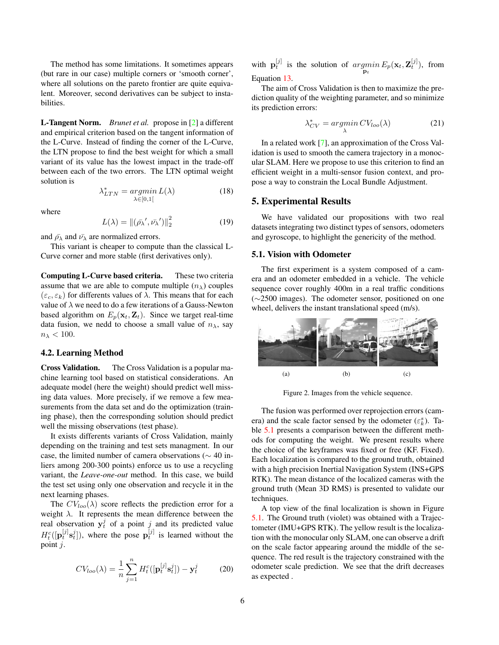<span id="page-5-1"></span>The method has some limitations. It sometimes appears (but rare in our case) multiple corners or 'smooth corner', where all solutions on the pareto frontier are quite equivalent. Moreover, second derivatives can be subject to instabilities.

L-Tangent Norm. *Brunet et al.* propose in [\[2\]](#page-7-18) a different and empirical criterion based on the tangent information of the L-Curve. Instead of finding the corner of the L-Curve, the LTN propose to find the best weight for which a small variant of its value has the lowest impact in the trade-off between each of the two errors. The LTN optimal weight solution is

$$
\lambda_{LTN}^* = \underset{\lambda \in [0,1[}{\operatorname{argmin}} L(\lambda) \tag{18}
$$

where

$$
L(\lambda) = ||(\bar{\rho_{\lambda}}', \bar{\nu_{\lambda}}')||_2^2
$$
 (19)

and  $\bar{\rho}_{\lambda}$  and  $\bar{\nu}_{\lambda}$  are normalized errors.

This variant is cheaper to compute than the classical L-Curve corner and more stable (first derivatives only).

Computing L-Curve based criteria. These two criteria assume that we are able to compute multiple  $(n_{\lambda})$  couples  $(\varepsilon_c, \varepsilon_k)$  for differents values of  $\lambda$ . This means that for each value of  $\lambda$  we need to do a few iterations of a Gauss-Newton based algorithm on  $E_p(\mathbf{x}_t, \mathbf{Z}_t)$ . Since we target real-time data fusion, we nedd to choose a small value of  $n_{\lambda}$ , say  $n_{\lambda} < 100$ .

### 4.2. Learning Method

Cross Validation. The Cross Validation is a popular machine learning tool based on statistical considerations. An adequate model (here the weight) should predict well missing data values. More precisely, if we remove a few measurements from the data set and do the optimization (training phase), then the corresponding solution should predict well the missing observations (test phase).

It exists differents variants of Cross Validation, mainly depending on the training and test sets managment. In our case, the limited number of camera observations (∼ 40 inliers among 200-300 points) enforce us to use a recycling variant, the *Leave-one-out* method. In this case, we build the test set using only one observation and recycle it in the next learning phases.

The  $CV<sub>loo</sub>(\lambda)$  score reflects the prediction error for a weight  $\lambda$ . It represents the mean difference between the real observation  $y_t^j$  of a point j and its predicted value  $H_t^c([{\bf p}_t^{[j]}{\bf s}_t^{j}]),$  where the pose  ${\bf p}_t^{[j]}$  is learned without the point  $i$ .

$$
CV_{loo}(\lambda) = \frac{1}{n} \sum_{j=1}^{n} H_t^c([\mathbf{p}_t^{[j]}\mathbf{s}_t^j]) - \mathbf{y}_t^j
$$
 (20)

with  $\mathbf{p}_t^{[j]}$  is the solution of  $\underset{\mathbf{p}_t}{argmin} E_p(\mathbf{x}_t, \mathbf{Z}_t^{[j]})$ , from Equation [13.](#page-4-6)

The aim of Cross Validation is then to maximize the prediction quality of the weighting parameter, and so minimize its prediction errors:

$$
\lambda_{CV}^* = \underset{\lambda}{\operatorname{argmin}} \, CV_{loo}(\lambda) \tag{21}
$$

In a related work [\[7\]](#page-7-19), an approximation of the Cross Validation is used to smooth the camera trajectory in a monocular SLAM. Here we propose to use this criterion to find an efficient weight in a multi-sensor fusion context, and propose a way to constrain the Local Bundle Adjustment.

### 5. Experimental Results

We have validated our propositions with two real datasets integrating two distinct types of sensors, odometers and gyroscope, to highlight the genericity of the method.

# 5.1. Vision with Odometer

The first experiment is a system composed of a camera and an odometer embedded in a vehicle. The vehicle sequence cover roughly 400m in a real traffic conditions (∼2500 images). The odometer sensor, positioned on one wheel, delivers the instant translational speed (m/s).



<span id="page-5-0"></span>Figure 2. Images from the vehicle sequence.

The fusion was performed over reprojection errors (camera) and the scale factor sensed by the odometer  $(\varepsilon_k^s)$ . Table [5.1](#page-5-0) presents a comparison between the different methods for computing the weight. We present results where the choice of the keyframes was fixed or free (KF. Fixed). Each localization is compared to the ground truth, obtained with a high precision Inertial Navigation System (INS+GPS RTK). The mean distance of the localized cameras with the ground truth (Mean 3D RMS) is presented to validate our techniques.

A top view of the final localization is shown in Figure [5.1.](#page-6-0) The Ground truth (violet) was obtained with a Trajectometer (IMU+GPS RTK). The yellow result is the localization with the monocular only SLAM, one can observe a drift on the scale factor appearing around the middle of the sequence. The red result is the trajectory constrained with the odometer scale prediction. We see that the drift decreases as expected .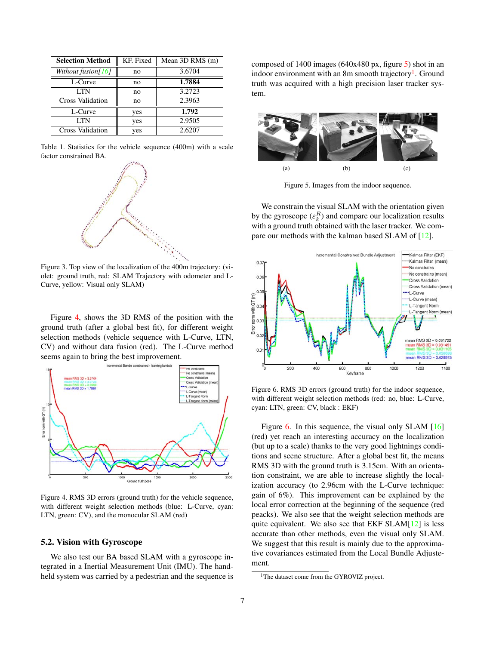<span id="page-6-5"></span>

| <b>Selection Method</b> | KF. Fixed | Mean 3D RMS (m) |
|-------------------------|-----------|-----------------|
| Without fusion[ $16$ ]  | no        | 3.6704          |
| L-Curve                 | no        | 1.7884          |
| LTN                     | no        | 3.2723          |
| <b>Cross Validation</b> | no        | 2.3963          |
| L-Curve                 | yes       | 1.792           |
| LTN                     | yes       | 2.9505          |
| <b>Cross Validation</b> | yes       | 2.6207          |

Table 1. Statistics for the vehicle sequence (400m) with a scale factor constrained BA.



<span id="page-6-0"></span>Figure 3. Top view of the localization of the 400m trajectory: (violet: ground truth, red: SLAM Trajectory with odometer and L-Curve, yellow: Visual only SLAM)

Figure [4,](#page-6-1) shows the 3D RMS of the position with the ground truth (after a global best fit), for different weight selection methods (vehicle sequence with L-Curve, LTN, CV) and without data fusion (red). The L-Curve method seems again to bring the best improvement.



<span id="page-6-1"></span>Figure 4. RMS 3D errors (ground truth) for the vehicle sequence, with different weight selection methods (blue: L-Curve, cyan: LTN, green: CV), and the monocular SLAM (red)

# 5.2. Vision with Gyroscope

We also test our BA based SLAM with a gyroscope integrated in a Inertial Measurement Unit (IMU). The handheld system was carried by a pedestrian and the sequence is composed of 1400 images (640x480 px, figure [5\)](#page-6-2) shot in an indoor environment with an 8m smooth trajectory<sup>[1](#page-6-3)</sup>. Ground truth was acquired with a high precision laser tracker system.



<span id="page-6-2"></span>Figure 5. Images from the indoor sequence.

We constrain the visual SLAM with the orientation given by the gyroscope  $(\varepsilon_k^R)$  and compare our localization results with a ground truth obtained with the laser tracker. We compare our methods with the kalman based SLAM of [\[12\]](#page-7-14).



<span id="page-6-4"></span>Figure 6. RMS 3D errors (ground truth) for the indoor sequence, with different weight selection methods (red: no, blue: L-Curve, cyan: LTN, green: CV, black : EKF)

Figure [6.](#page-6-4) In this sequence, the visual only SLAM [\[16\]](#page-7-1) (red) yet reach an interesting accuracy on the localization (but up to a scale) thanks to the very good lightnings conditions and scene structure. After a global best fit, the means RMS 3D with the ground truth is 3.15cm. With an orientation constraint, we are able to increase slightly the localization accuracy (to 2.96cm with the L-Curve technique: gain of 6%). This improvement can be explained by the local error correction at the beginning of the sequence (red peacks). We also see that the weight selection methods are quite equivalent. We also see that EKF SLAM[\[12\]](#page-7-14) is less accurate than other methods, even the visual only SLAM. We suggest that this result is mainly due to the approximative covariances estimated from the Local Bundle Adjustement.

<span id="page-6-3"></span><sup>&</sup>lt;sup>1</sup>The dataset come from the GYROVIZ project.